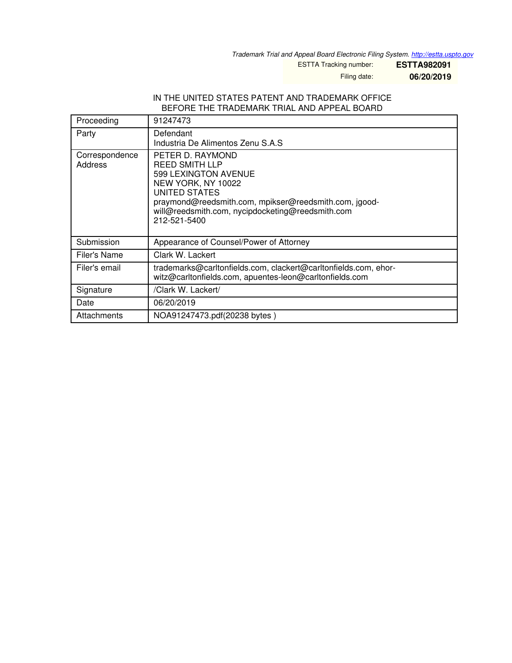*Trademark Trial and Appeal Board Electronic Filing System. <http://estta.uspto.gov>*

ESTTA Tracking number: **ESTTA982091**

Filing date: **06/20/2019**

## IN THE UNITED STATES PATENT AND TRADEMARK OFFICE BEFORE THE TRADEMARK TRIAL AND APPEAL BOARD

| Proceeding                       | 91247473                                                                                                                                                                                                                              |
|----------------------------------|---------------------------------------------------------------------------------------------------------------------------------------------------------------------------------------------------------------------------------------|
| Party                            | Defendant<br>Industria De Alimentos Zenu S.A.S.                                                                                                                                                                                       |
| Correspondence<br><b>Address</b> | PETER D. RAYMOND<br><b>REED SMITH LLP</b><br>599 LEXINGTON AVENUE<br>NEW YORK, NY 10022<br>UNITED STATES<br>praymond@reedsmith.com, mpikser@reedsmith.com, jgood-<br>will@reedsmith.com, nycipdocketing@reedsmith.com<br>212-521-5400 |
| Submission                       | Appearance of Counsel/Power of Attorney                                                                                                                                                                                               |
| Filer's Name                     | Clark W. Lackert                                                                                                                                                                                                                      |
| Filer's email                    | trademarks@carltonfields.com, clackert@carltonfields.com, ehor-<br>witz@carltonfields.com, apuentes-leon@carltonfields.com                                                                                                            |
| Signature                        | /Clark W. Lackert/                                                                                                                                                                                                                    |
| Date                             | 06/20/2019                                                                                                                                                                                                                            |
| Attachments                      | NOA91247473.pdf(20238 bytes)                                                                                                                                                                                                          |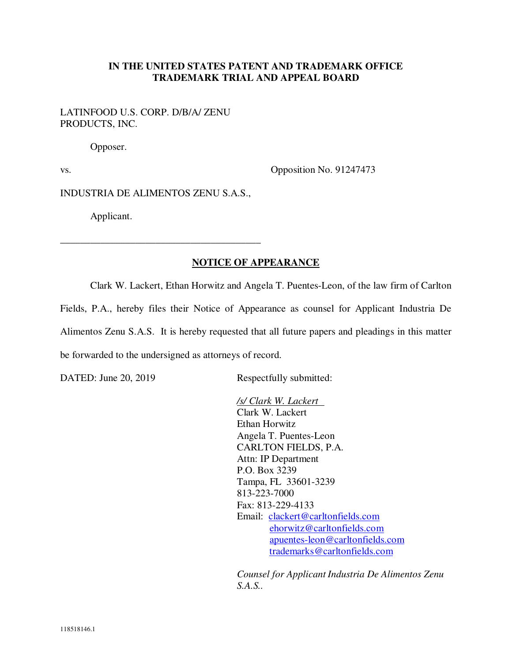## **IN THE UNITED STATES PATENT AND TRADEMARK OFFICE TRADEMARK TRIAL AND APPEAL BOARD**

LATINFOOD U.S. CORP. D/B/A/ ZENU PRODUCTS, INC.

Opposer.

vs. Opposition No. 91247473

INDUSTRIA DE ALIMENTOS ZENU S.A.S.,

\_\_\_\_\_\_\_\_\_\_\_\_\_\_\_\_\_\_\_\_\_\_\_\_\_\_\_\_\_\_\_\_\_\_\_\_\_\_\_\_

Applicant.

## **NOTICE OF APPEARANCE**

Clark W. Lackert, Ethan Horwitz and Angela T. Puentes-Leon, of the law firm of Carlton Fields, P.A., hereby files their Notice of Appearance as counsel for Applicant Industria De Alimentos Zenu S.A.S. It is hereby requested that all future papers and pleadings in this matter be forwarded to the undersigned as attorneys of record.

DATED: June 20, 2019 Respectfully submitted:

*/s/ Clark W. Lackert*  Clark W. Lackert Ethan Horwitz Angela T. Puentes-Leon CARLTON FIELDS, P.A. Attn: IP Department P.O. Box 3239 Tampa, FL 33601-3239 813-223-7000 Fax: 813-229-4133 Email: clackert@carltonfields.com ehorwitz@carltonfields.com apuentes-leon@carltonfields.com trademarks@carltonfields.com

*Counsel for Applicant Industria De Alimentos Zenu S.A.S..*